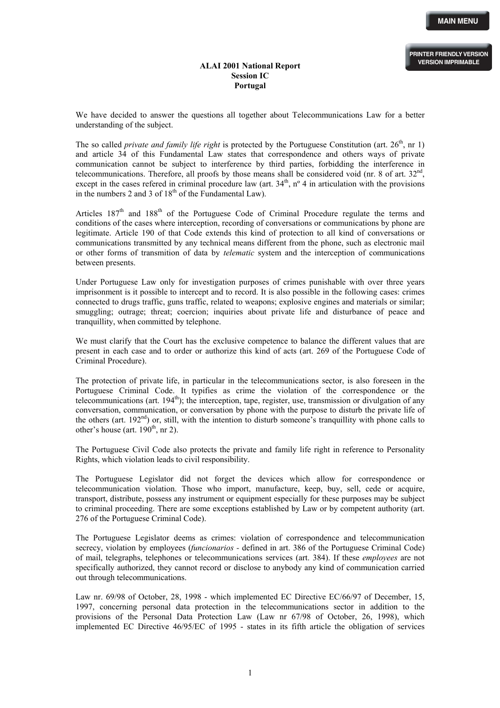## **ALAI 2001 National Report Session IC Portugal**

We have decided to answer the questions all together about Telecommunications Law for a better understanding of the subject.

The so called *private and family life right* is protected by the Portuguese Constitution (art. 26<sup>th</sup>, nr 1) and article 34 of this Fundamental Law states that correspondence and others ways of private communication cannot be subject to interference by third parties, forbidding the interference in telecommunications. Therefore, all proofs by those means shall be considered void (nr. 8 of art.  $32<sup>nd</sup>$ , except in the cases refered in criminal procedure law (art.  $34<sup>th</sup>$ , n<sup>o</sup> 4 in articulation with the provisions in the numbers 2 and 3 of  $18<sup>th</sup>$  of the Fundamental Law).

Articles  $187<sup>th</sup>$  and  $188<sup>th</sup>$  of the Portuguese Code of Criminal Procedure regulate the terms and conditions of the cases where interception, recording of conversations or communications by phone are legitimate. Article 190 of that Code extends this kind of protection to all kind of conversations or communications transmitted by any technical means different from the phone, such as electronic mail or other forms of transmition of data by *telematic* system and the interception of communications between presents.

Under Portuguese Law only for investigation purposes of crimes punishable with over three years imprisonment is it possible to intercept and to record. It is also possible in the following cases: crimes connected to drugs traffic, guns traffic, related to weapons; explosive engines and materials or similar; smuggling; outrage; threat; coercion; inquiries about private life and disturbance of peace and tranquillity, when committed by telephone.

We must clarify that the Court has the exclusive competence to balance the different values that are present in each case and to order or authorize this kind of acts (art. 269 of the Portuguese Code of Criminal Procedure).

The protection of private life, in particular in the telecommunications sector, is also foreseen in the Portuguese Criminal Code. It typifies as crime the violation of the correspondence or the telecommunications (art.  $194<sup>th</sup>$ ); the interception, tape, register, use, transmission or divulgation of any conversation, communication, or conversation by phone with the purpose to disturb the private life of the others (art. 192nd) or, still, with the intention to disturb someone's tranquillity with phone calls to other's house (art.  $190<sup>th</sup>$ , nr 2).

The Portuguese Civil Code also protects the private and family life right in reference to Personality Rights, which violation leads to civil responsibility.

The Portuguese Legislator did not forget the devices which allow for correspondence or telecommunication violation. Those who import, manufacture, keep, buy, sell, cede or acquire, transport, distribute, possess any instrument or equipment especially for these purposes may be subject to criminal proceeding. There are some exceptions established by Law or by competent authority (art. 276 of the Portuguese Criminal Code).

The Portuguese Legislator deems as crimes: violation of correspondence and telecommunication secrecy, violation by employees (*funcionarios -* defined in art. 386 of the Portuguese Criminal Code) of mail, telegraphs, telephones or telecommunications services (art. 384). If these *employees* are not specifically authorized, they cannot record or disclose to anybody any kind of communication carried out through telecommunications.

Law nr. 69/98 of October, 28, 1998 - which implemented EC Directive EC/66/97 of December, 15, 1997, concerning personal data protection in the telecommunications sector in addition to the provisions of the Personal Data Protection Law (Law nr 67/98 of October, 26, 1998), which implemented EC Directive 46/95/EC of 1995 - states in its fifth article the obligation of services